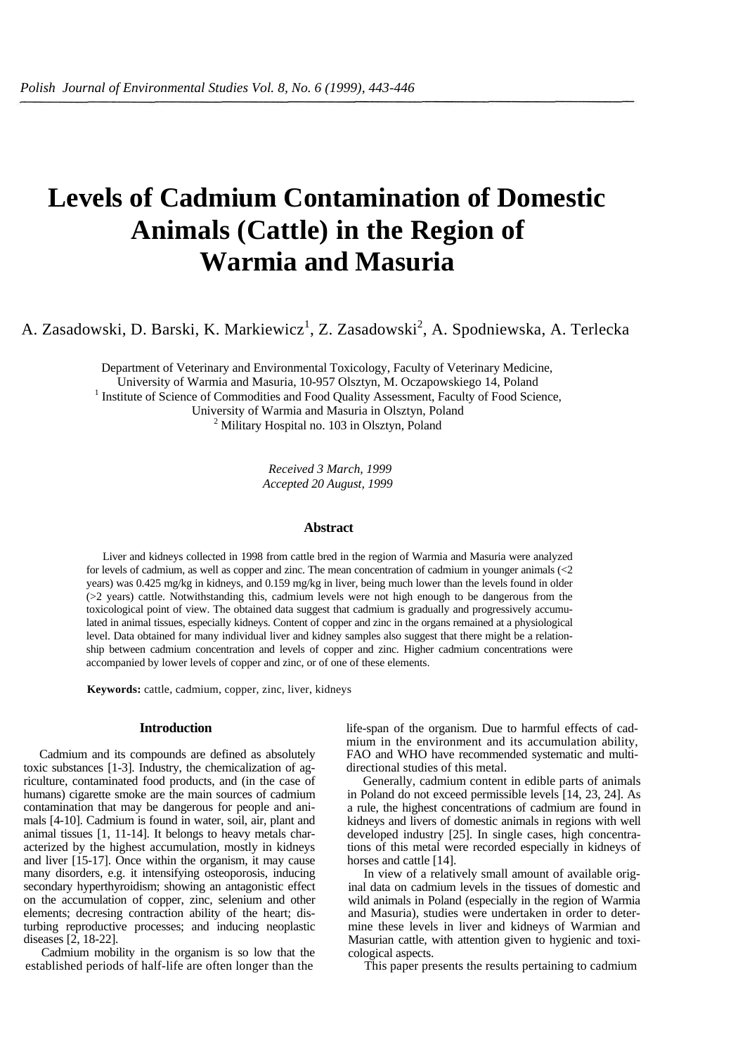# **Levels of Cadmium Contamination of Domestic Animals (Cattle) in the Region of Warmia and Masuria**

A. Zasadowski, D. Barski, K. Markiewicz<sup>1</sup>, Z. Zasadowski<sup>2</sup>, A. Spodniewska, A. Terlecka

Department of Veterinary and Environmental Toxicology, Faculty of Veterinary Medicine, University of Warmia and Masuria, 10-957 Olsztyn, M. Oczapowskiego 14, Poland 1 <sup>1</sup> Institute of Science of Commodities and Food Quality Assessment, Faculty of Food Science, University of Warmia and Masuria in Olsztyn, Poland 2  $<sup>2</sup>$  Military Hospital no. 103 in Olsztyn, Poland</sup>

> *Received 3 March, 1999 Accepted 20 August, 1999*

## **Abstract**

Liver and kidneys collected in 1998 from cattle bred in the region of Warmia and Masuria were analyzed for levels of cadmium, as well as copper and zinc. The mean concentration of cadmium in younger animals (<2 years) was 0.425 mg/kg in kidneys, and 0.159 mg/kg in liver, being much lower than the levels found in older (>2 years) cattle. Notwithstanding this, cadmium levels were not high enough to be dangerous from the toxicological point of view. The obtained data suggest that cadmium is gradually and progressively accumulated in animal tissues, especially kidneys. Content of copper and zinc in the organs remained at a physiological level. Data obtained for many individual liver and kidney samples also suggest that there might be a relationship between cadmium concentration and levels of copper and zinc. Higher cadmium concentrations were accompanied by lower levels of copper and zinc, or of one of these elements.

**Keywords:** cattle, cadmium, copper, zinc, liver, kidneys

### **Introduction**

Cadmium and its compounds are defined as absolutely toxic substances [1-3]. Industry, the chemicalization of agriculture, contaminated food products, and (in the case of humans) cigarette smoke are the main sources of cadmium contamination that may be dangerous for people and animals [4-10]. Cadmium is found in water, soil, air, plant and animal tissues [1, 11-14]. It belongs to heavy metals characterized by the highest accumulation, mostly in kidneys and liver [15-17]. Once within the organism, it may cause many disorders, e.g. it intensifying osteoporosis, inducing secondary hyperthyroidism; showing an antagonistic effect on the accumulation of copper, zinc, selenium and other elements; decresing contraction ability of the heart; disturbing reproductive processes; and inducing neoplastic diseases [2, 18-22].

Cadmium mobility in the organism is so low that the established periods of half-life are often longer than the life-span of the organism. Due to harmful effects of cadmium in the environment and its accumulation ability, FAO and WHO have recommended systematic and multidirectional studies of this metal.

Generally, cadmium content in edible parts of animals in Poland do not exceed permissible levels [14, 23, 24]. As a rule, the highest concentrations of cadmium are found in kidneys and livers of domestic animals in regions with well developed industry [25]. In single cases, high concentrations of this metal were recorded especially in kidneys of horses and cattle [14].

In view of a relatively small amount of available original data on cadmium levels in the tissues of domestic and wild animals in Poland (especially in the region of Warmia and Masuria), studies were undertaken in order to determine these levels in liver and kidneys of Warmian and Masurian cattle, with attention given to hygienic and toxicological aspects.

This paper presents the results pertaining to cadmium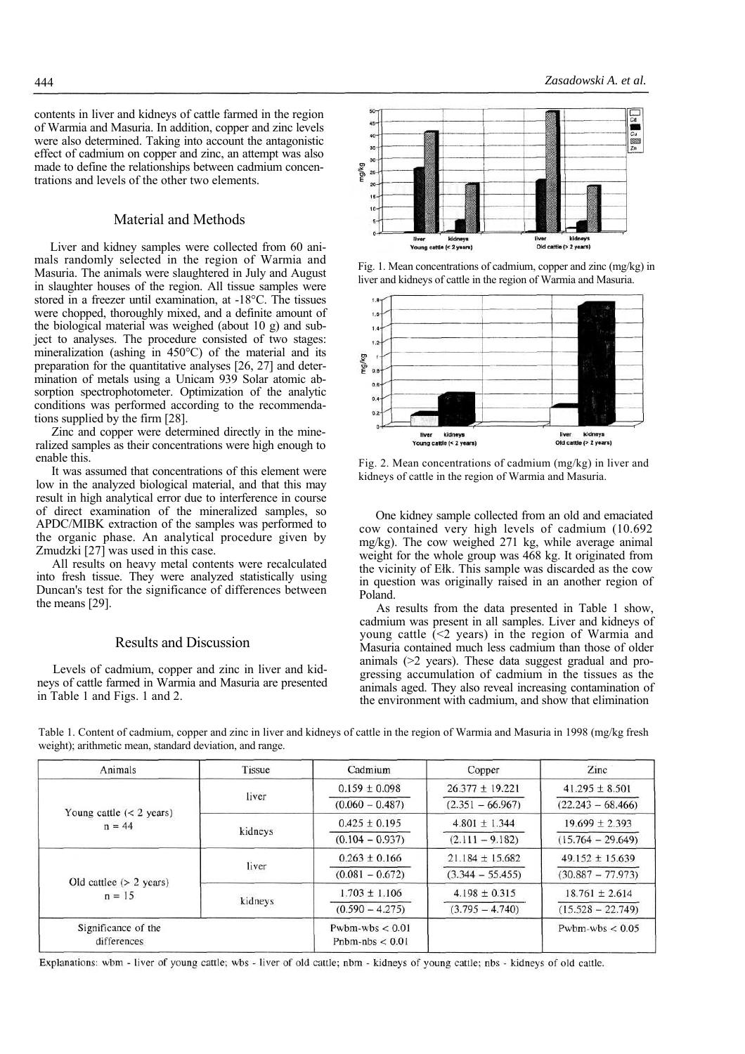contents in liver and kidneys of cattle farmed in the region of Warmia and Masuria. In addition, copper and zinc levels were also determined. Taking into account the antagonistic effect of cadmium on copper and zinc, an attempt was also made to define the relationships between cadmium concentrations and levels of the other two elements.

# Material and Methods

Liver and kidney samples were collected from 60 animals randomly selected in the region of Warmia and Masuria. The animals were slaughtered in July and August in slaughter houses of the region. All tissue samples were stored in a freezer until examination, at -18°C. The tissues were chopped, thoroughly mixed, and a definite amount of the biological material was weighed (about 10 g) and subject to analyses. The procedure consisted of two stages: mineralization (ashing in 450°C) of the material and its preparation for the quantitative analyses [26, 27] and determination of metals using a Unicam 939 Solar atomic absorption spectrophotometer. Optimization of the analytic conditions was performed according to the recommendations supplied by the firm [28].

Zinc and copper were determined directly in the mineralized samples as their concentrations were high enough to enable this.

It was assumed that concentrations of this element were low in the analyzed biological material, and that this may result in high analytical error due to interference in course of direct examination of the mineralized samples, so APDC/MIBK extraction of the samples was performed to the organic phase. An analytical procedure given by Zmudzki [27] was used in this case.

All results on heavy metal contents were recalculated into fresh tissue. They were analyzed statistically using Duncan's test for the significance of differences between the means [29].

# Results and Discussion

Levels of cadmium, copper and zinc in liver and kidneys of cattle farmed in Warmia and Masuria are presented in Table 1 and Figs. 1 and 2.



Fig. 1. Mean concentrations of cadmium, copper and zinc (mg/kg) in liver and kidneys of cattle in the region of Warmia and Masuria.



Fig. 2. Mean concentrations of cadmium (mg/kg) in liver and kidneys of cattle in the region of Warmia and Masuria.

One kidney sample collected from an old and emaciated cow contained very high levels of cadmium (10.692 mg/kg). The cow weighed 271 kg, while average animal weight for the whole group was 468 kg. It originated from the vicinity of Ełk. This sample was discarded as the cow in question was originally raised in an another region of Poland.

As results from the data presented in Table 1 show, cadmium was present in all samples. Liver and kidneys of young cattle  $(\leq 2$  years) in the region of Warmia and Masuria contained much less cadmium than those of older animals (>2 years). These data suggest gradual and progressing accumulation of cadmium in the tissues as the animals aged. They also reveal increasing contamination of the environment with cadmium, and show that elimination

| Animals                                | Tissue  | Cadmium                                | Copper              | Zinc                |
|----------------------------------------|---------|----------------------------------------|---------------------|---------------------|
| Young cattle $(< 2$ years)<br>$n = 44$ | liver   | $0.159 \pm 0.098$                      | $26.377 \pm 19.221$ | $41.295 \pm 8.501$  |
|                                        |         | $(0.060 - 0.487)$                      | $(2.351 - 66.967)$  | $(22.243 - 68.466)$ |
|                                        | kidneys | $0.425 \pm 0.195$                      | $4.801 \pm 1.344$   | $19.699 \pm 2.393$  |
|                                        |         | $(0.104 - 0.937)$                      | $(2.111 - 9.182)$   | $(15.764 - 29.649)$ |
| Old cattlee $(> 2$ years)<br>$n = 15$  | liver   | $0.263 \pm 0.166$                      | $21.184 \pm 15.682$ | $49.152 \pm 15.639$ |
|                                        |         | $(0.081 - 0.672)$                      | $(3.344 - 55.455)$  | $(30.887 - 77.973)$ |
|                                        | kidneys | $1.703 \pm 1.106$                      | $4.198 \pm 0.315$   | $18.761 \pm 2.614$  |
|                                        |         | $(0.590 - 4.275)$                      | $(3.795 - 4.740)$   | $(15.528 - 22.749)$ |
| Significance of the<br>differences     |         | Pwbm-wbs $< 0.01$<br>Pnbm-nbs $< 0.01$ |                     | Pwbm-wbs $< 0.05$   |

Table 1. Content of cadmium, copper and zinc in liver and kidneys of cattle in the region of Warmia and Masuria in 1998 (mg/kg fresh weight); arithmetic mean, standard deviation, and range.

Explanations: wbm - liver of young cattle; wbs - liver of old cattle; nbm - kidneys of young cattle; nbs - kidneys of old cattle.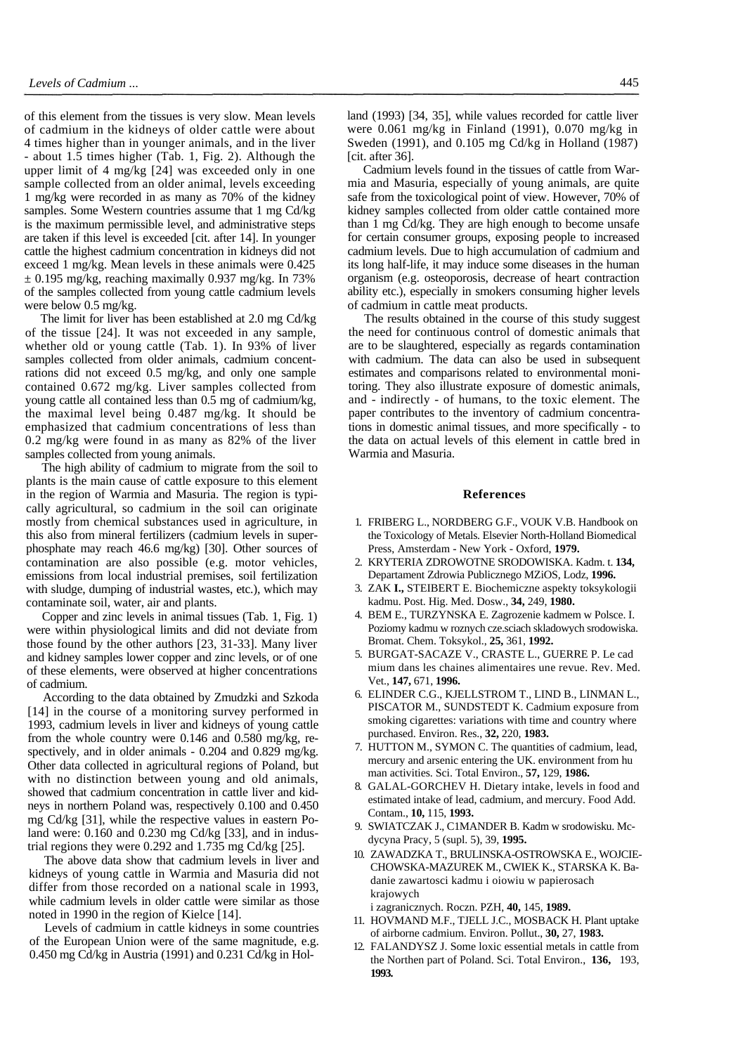of this element from the tissues is very slow. Mean levels of cadmium in the kidneys of older cattle were about 4 times higher than in younger animals, and in the liver - about 1.5 times higher (Tab. 1, Fig. 2). Although the upper limit of 4 mg/kg [24] was exceeded only in one sample collected from an older animal, levels exceeding 1 mg/kg were recorded in as many as 70% of the kidney samples. Some Western countries assume that 1 mg Cd/kg is the maximum permissible level, and administrative steps are taken if this level is exceeded [cit. after 14]. In younger cattle the highest cadmium concentration in kidneys did not exceed 1 mg/kg. Mean levels in these animals were 0.425  $\pm$  0.195 mg/kg, reaching maximally 0.937 mg/kg. In 73% of the samples collected from young cattle cadmium levels were below 0.5 mg/kg.

The limit for liver has been established at 2.0 mg Cd/kg of the tissue [24]. It was not exceeded in any sample, whether old or young cattle (Tab. 1). In 93% of liver samples collected from older animals, cadmium concentrations did not exceed 0.5 mg/kg, and only one sample contained 0.672 mg/kg. Liver samples collected from young cattle all contained less than 0.5 mg of cadmium/kg, the maximal level being 0.487 mg/kg. It should be emphasized that cadmium concentrations of less than 0.2 mg/kg were found in as many as 82% of the liver samples collected from young animals.

The high ability of cadmium to migrate from the soil to plants is the main cause of cattle exposure to this element in the region of Warmia and Masuria. The region is typically agricultural, so cadmium in the soil can originate mostly from chemical substances used in agriculture, in this also from mineral fertilizers (cadmium levels in superphosphate may reach 46.6 mg/kg) [30]. Other sources of contamination are also possible (e.g. motor vehicles, emissions from local industrial premises, soil fertilization with sludge, dumping of industrial wastes, etc.), which may contaminate soil, water, air and plants.

Copper and zinc levels in animal tissues (Tab. 1, Fig. 1) were within physiological limits and did not deviate from those found by the other authors [23, 31-33]. Many liver and kidney samples lower copper and zinc levels, or of one of these elements, were observed at higher concentrations of cadmium.

According to the data obtained by Zmudzki and Szkoda [14] in the course of a monitoring survey performed in 1993, cadmium levels in liver and kidneys of young cattle from the whole country were 0.146 and 0.580 mg/kg, respectively, and in older animals - 0.204 and 0.829 mg/kg. Other data collected in agricultural regions of Poland, but with no distinction between young and old animals, showed that cadmium concentration in cattle liver and kidneys in northern Poland was, respectively 0.100 and 0.450 mg Cd/kg [31], while the respective values in eastern Poland were: 0.160 and 0.230 mg Cd/kg [33], and in industrial regions they were 0.292 and 1.735 mg Cd/kg [25].

The above data show that cadmium levels in liver and kidneys of young cattle in Warmia and Masuria did not differ from those recorded on a national scale in 1993, while cadmium levels in older cattle were similar as those noted in 1990 in the region of Kielce [14].

Levels of cadmium in cattle kidneys in some countries of the European Union were of the same magnitude, e.g. 0.450 mg Cd/kg in Austria (1991) and 0.231 Cd/kg in Holland (1993) [34, 35], while values recorded for cattle liver were 0.061 mg/kg in Finland (1991), 0.070 mg/kg in Sweden (1991), and 0.105 mg Cd/kg in Holland (1987) [cit. after 36].

Cadmium levels found in the tissues of cattle from Warmia and Masuria, especially of young animals, are quite safe from the toxicological point of view. However, 70% of kidney samples collected from older cattle contained more than 1 mg Cd/kg. They are high enough to become unsafe for certain consumer groups, exposing people to increased cadmium levels. Due to high accumulation of cadmium and its long half-life, it may induce some diseases in the human organism (e.g. osteoporosis, decrease of heart contraction ability etc.), especially in smokers consuming higher levels of cadmium in cattle meat products.

The results obtained in the course of this study suggest the need for continuous control of domestic animals that are to be slaughtered, especially as regards contamination with cadmium. The data can also be used in subsequent estimates and comparisons related to environmental monitoring. They also illustrate exposure of domestic animals, and - indirectly - of humans, to the toxic element. The paper contributes to the inventory of cadmium concentrations in domestic animal tissues, and more specifically - to the data on actual levels of this element in cattle bred in Warmia and Masuria.

#### **References**

- 1. FRIBERG L., NORDBERG G.F., VOUK V.B. Handbook on the Toxicology of Metals. Elsevier North-Holland Biomedical Press, Amsterdam - New York - Oxford, **1979.**
- 2. KRYTERIA ZDROWOTNE SRODOWISKA. Kadm. t. **134,**  Departament Zdrowia Publicznego MZiOS, Lodz, **1996.**
- 3. ZAK **I.,** STEIBERT E. Biochemiczne aspekty toksykologii kadmu. Post. Hig. Med. Dosw., **34,** 249, **1980.**
- 4. BEM E., TURZYNSKA E. Zagrozenie kadmem w Polsce. I. Poziomy kadmu w roznych cze.sciach skladowych srodowiska. Bromat. Chem. Toksykol., **25,** 361, **1992.**
- 5. BURGAT-SACAZE V., CRASTE L., GUERRE P. Le cad mium dans les chaines alimentaires une revue. Rev. Med. Vet., **147,** 671, **1996.**
- 6. ELINDER C.G., KJELLSTROM T., LIND B., LINMAN L., PISCATOR M., SUNDSTEDT K. Cadmium exposure from smoking cigarettes: variations with time and country where purchased. Environ. Res., **32,** 220, **1983.**
- 7. HUTTON M., SYMON C. The quantities of cadmium, lead, mercury and arsenic entering the UK. environment from hu man activities. Sci. Total Environ., **57,** 129, **1986.**
- 8. GALAL-GORCHEV H. Dietary intake, levels in food and estimated intake of lead, cadmium, and mercury. Food Add. Contam., **10,** 115, **1993.**
- 9. SWIATCZAK J., C1MANDER B. Kadm w srodowisku. Mcdycyna Pracy, 5 (supl. 5), 39, **1995.**
- 10. ZAWADZKA T., BRULINSKA-OSTROWSKA E., WOJCIE-CHOWSKA-MAZUREK M., CWIEK K., STARSKA K. Badanie zawartosci kadmu i oiowiu w papierosach krajowych

i zagranicznych. Roczn. PZH, **40,** 145, **1989.**

- 11. HOVMAND M.F., TJELL J.C., MOSBACK H. Plant uptake of airborne cadmium. Environ. Pollut., **30,** 27, **1983.**
- 12. FALANDYSZ J. Some loxic essential metals in cattle from the Northen part of Poland. Sci. Total Environ., **136,** 193, **1993.**